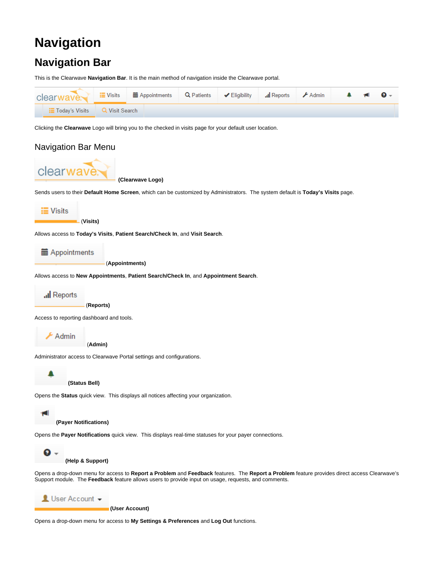# **Navigation**

## **Navigation Bar**

This is the Clearwave **Navigation Bar**. It is the main method of navigation inside the Clearwave portal.



Clicking the **Clearwave** Logo will bring you to the checked in visits page for your default user location.



Opens a drop-down menu for access to **My Settings & Preferences** and **Log Out** functions.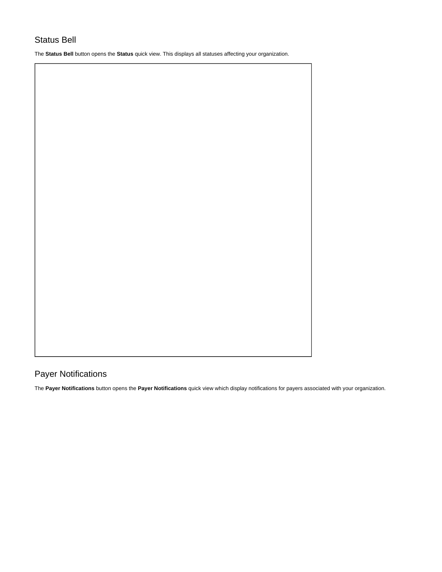## Status Bell

The **Status Bell** button opens the **Status** quick view. This displays all statuses affecting your organization.

## Payer Notifications

The **Payer Notifications** button opens the **Payer Notifications** quick view which display notifications for payers associated with your organization.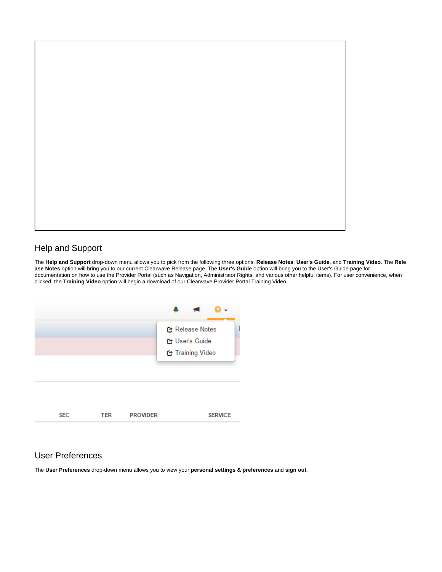

### Help and Support

The **Help and Support** drop-down menu allows you to pick from the following three options, **Release Notes**, **User's Guide**, and **Training Video**. The **Rele ase Notes** option will bring you to our current Clearwave Release page. The **User's Guide** option will bring you to the User's Guide page for documentation on how to use the Provider Portal (such as Navigation, Administrator Rights, and various other helpful items). For user convenience, when clicked, the **Training Video** option will begin a download of our Clearwave Provider Portal Training Video.



#### User Preferences

The **User Preferences** drop-down menu allows you to view your **personal settings & preferences** and **sign out**.